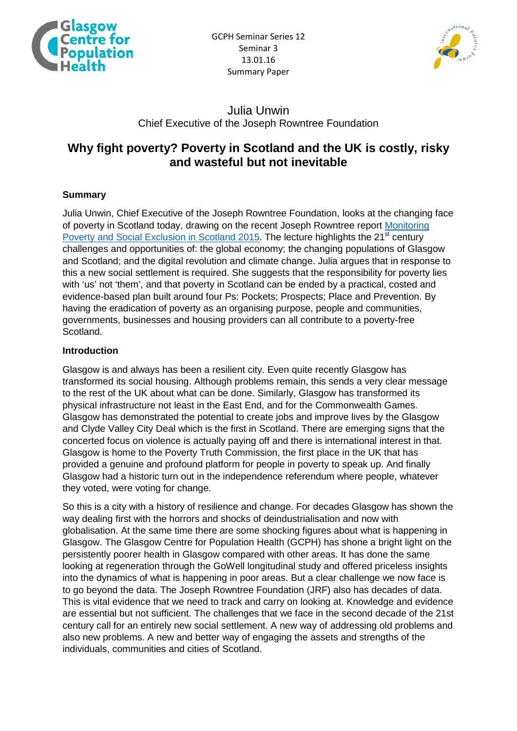



## Julia Unwin Chief Executive of the Joseph Rowntree Foundation

# **Why fight poverty? Poverty in Scotland and the UK is costly, risky and wasteful but not inevitable**

## **Summary**

Julia Unwin, Chief Executive of the Joseph Rowntree Foundation, looks at the changing face of poverty in Scotland today, drawing on the recent Joseph Rowntree report [Monitoring](https://www.jrf.org.uk/report/monitoring-poverty-and-social-exclusion-scotland-2015)  [Poverty and Social Exclusion in Scotland 2015.](https://www.jrf.org.uk/report/monitoring-poverty-and-social-exclusion-scotland-2015) The lecture highlights the 21<sup>st</sup> century challenges and opportunities of: the global economy; the changing populations of Glasgow and Scotland; and the digital revolution and climate change. Julia argues that in response to this a new social settlement is required. She suggests that the responsibility for poverty lies with 'us' not 'them', and that poverty in Scotland can be ended by a practical, costed and evidence-based plan built around four Ps: Pockets; Prospects; Place and Prevention. By having the eradication of poverty as an organising purpose, people and communities, governments, businesses and housing providers can all contribute to a poverty-free Scotland.

#### **Introduction**

Glasgow is and always has been a resilient city. Even quite recently Glasgow has transformed its social housing. Although problems remain, this sends a very clear message to the rest of the UK about what can be done. Similarly, Glasgow has transformed its physical infrastructure not least in the East End, and for the Commonwealth Games. Glasgow has demonstrated the potential to create jobs and improve lives by the Glasgow and Clyde Valley City Deal which is the first in Scotland. There are emerging signs that the concerted focus on violence is actually paying off and there is international interest in that. Glasgow is home to the Poverty Truth Commission, the first place in the UK that has provided a genuine and profound platform for people in poverty to speak up. And finally Glasgow had a historic turn out in the independence referendum where people, whatever they voted, were voting for change.

So this is a city with a history of resilience and change. For decades Glasgow has shown the way dealing first with the horrors and shocks of deindustrialisation and now with globalisation. At the same time there are some shocking figures about what is happening in Glasgow. The Glasgow Centre for Population Health (GCPH) has shone a bright light on the persistently poorer health in Glasgow compared with other areas. It has done the same looking at regeneration through the GoWell longitudinal study and offered priceless insights into the dynamics of what is happening in poor areas. But a clear challenge we now face is to go beyond the data. The Joseph Rowntree Foundation (JRF) also has decades of data. This is vital evidence that we need to track and carry on looking at. Knowledge and evidence are essential but not sufficient. The challenges that we face in the second decade of the 21st century call for an entirely new social settlement. A new way of addressing old problems and also new problems. A new and better way of engaging the assets and strengths of the individuals, communities and cities of Scotland.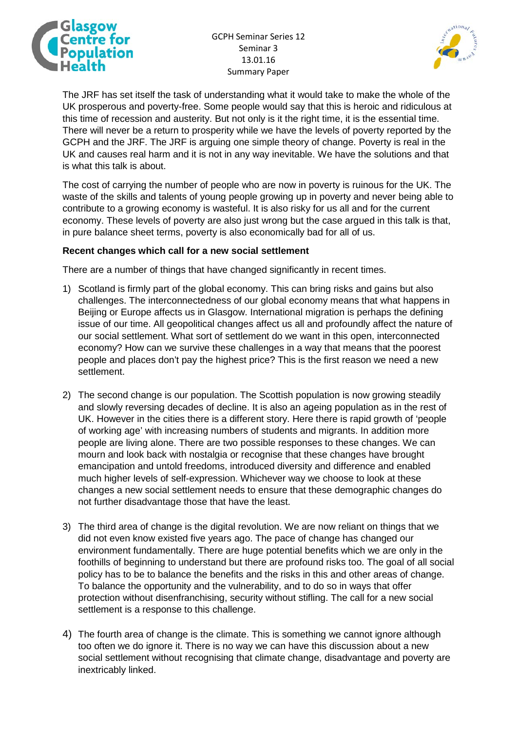



The JRF has set itself the task of understanding what it would take to make the whole of the UK prosperous and poverty-free. Some people would say that this is heroic and ridiculous at this time of recession and austerity. But not only is it the right time, it is the essential time. There will never be a return to prosperity while we have the levels of poverty reported by the GCPH and the JRF. The JRF is arguing one simple theory of change. Poverty is real in the UK and causes real harm and it is not in any way inevitable. We have the solutions and that is what this talk is about.

The cost of carrying the number of people who are now in poverty is ruinous for the UK. The waste of the skills and talents of young people growing up in poverty and never being able to contribute to a growing economy is wasteful. It is also risky for us all and for the current economy. These levels of poverty are also just wrong but the case argued in this talk is that, in pure balance sheet terms, poverty is also economically bad for all of us.

#### **Recent changes which call for a new social settlement**

There are a number of things that have changed significantly in recent times.

- 1) Scotland is firmly part of the global economy. This can bring risks and gains but also challenges. The interconnectedness of our global economy means that what happens in Beijing or Europe affects us in Glasgow. International migration is perhaps the defining issue of our time. All geopolitical changes affect us all and profoundly affect the nature of our social settlement. What sort of settlement do we want in this open, interconnected economy? How can we survive these challenges in a way that means that the poorest people and places don't pay the highest price? This is the first reason we need a new settlement.
- 2) The second change is our population. The Scottish population is now growing steadily and slowly reversing decades of decline. It is also an ageing population as in the rest of UK. However in the cities there is a different story. Here there is rapid growth of 'people of working age' with increasing numbers of students and migrants. In addition more people are living alone. There are two possible responses to these changes. We can mourn and look back with nostalgia or recognise that these changes have brought emancipation and untold freedoms, introduced diversity and difference and enabled much higher levels of self-expression. Whichever way we choose to look at these changes a new social settlement needs to ensure that these demographic changes do not further disadvantage those that have the least.
- 3) The third area of change is the digital revolution. We are now reliant on things that we did not even know existed five years ago. The pace of change has changed our environment fundamentally. There are huge potential benefits which we are only in the foothills of beginning to understand but there are profound risks too. The goal of all social policy has to be to balance the benefits and the risks in this and other areas of change. To balance the opportunity and the vulnerability, and to do so in ways that offer protection without disenfranchising, security without stifling. The call for a new social settlement is a response to this challenge.
- 4) The fourth area of change is the climate. This is something we cannot ignore although too often we do ignore it. There is no way we can have this discussion about a new social settlement without recognising that climate change, disadvantage and poverty are inextricably linked.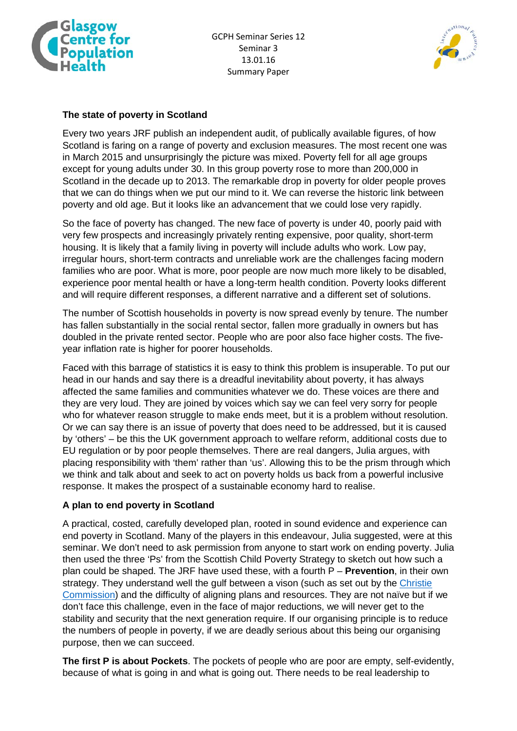



## **The state of poverty in Scotland**

Every two years JRF publish an independent audit, of publically available figures, of how Scotland is faring on a range of poverty and exclusion measures. The most recent one was in March 2015 and unsurprisingly the picture was mixed. Poverty fell for all age groups except for young adults under 30. In this group poverty rose to more than 200,000 in Scotland in the decade up to 2013. The remarkable drop in poverty for older people proves that we can do things when we put our mind to it. We can reverse the historic link between poverty and old age. But it looks like an advancement that we could lose very rapidly.

So the face of poverty has changed. The new face of poverty is under 40, poorly paid with very few prospects and increasingly privately renting expensive, poor quality, short-term housing. It is likely that a family living in poverty will include adults who work. Low pay, irregular hours, short-term contracts and unreliable work are the challenges facing modern families who are poor. What is more, poor people are now much more likely to be disabled, experience poor mental health or have a long-term health condition. Poverty looks different and will require different responses, a different narrative and a different set of solutions.

The number of Scottish households in poverty is now spread evenly by tenure. The number has fallen substantially in the social rental sector, fallen more gradually in owners but has doubled in the private rented sector. People who are poor also face higher costs. The fiveyear inflation rate is higher for poorer households.

Faced with this barrage of statistics it is easy to think this problem is insuperable. To put our head in our hands and say there is a dreadful inevitability about poverty, it has always affected the same families and communities whatever we do. These voices are there and they are very loud. They are joined by voices which say we can feel very sorry for people who for whatever reason struggle to make ends meet, but it is a problem without resolution. Or we can say there is an issue of poverty that does need to be addressed, but it is caused by 'others' – be this the UK government approach to welfare reform, additional costs due to EU regulation or by poor people themselves. There are real dangers, Julia argues, with placing responsibility with 'them' rather than 'us'. Allowing this to be the prism through which we think and talk about and seek to act on poverty holds us back from a powerful inclusive response. It makes the prospect of a sustainable economy hard to realise.

## **A plan to end poverty in Scotland**

A practical, costed, carefully developed plan, rooted in sound evidence and experience can end poverty in Scotland. Many of the players in this endeavour, Julia suggested, were at this seminar. We don't need to ask permission from anyone to start work on ending poverty. Julia then used the three 'Ps' from the Scottish Child Poverty Strategy to sketch out how such a plan could be shaped. The JRF have used these, with a fourth P – **Prevention**, in their own strategy. They understand well the gulf between a vison (such as set out by the Christie [Commission\)](http://www.gov.scot/Publications/2011/06/27154527/0) and the difficulty of aligning plans and resources. They are not naïve but if we don't face this challenge, even in the face of major reductions, we will never get to the stability and security that the next generation require. If our organising principle is to reduce the numbers of people in poverty, if we are deadly serious about this being our organising purpose, then we can succeed.

**The first P is about Pockets**. The pockets of people who are poor are empty, self-evidently, because of what is going in and what is going out. There needs to be real leadership to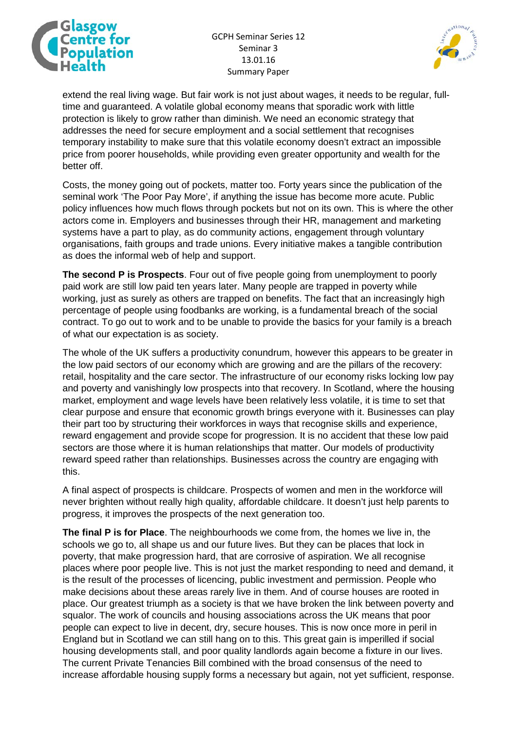



extend the real living wage. But fair work is not just about wages, it needs to be regular, fulltime and guaranteed. A volatile global economy means that sporadic work with little protection is likely to grow rather than diminish. We need an economic strategy that addresses the need for secure employment and a social settlement that recognises temporary instability to make sure that this volatile economy doesn't extract an impossible price from poorer households, while providing even greater opportunity and wealth for the better off.

Costs, the money going out of pockets, matter too. Forty years since the publication of the seminal work 'The Poor Pay More', if anything the issue has become more acute. Public policy influences how much flows through pockets but not on its own. This is where the other actors come in. Employers and businesses through their HR, management and marketing systems have a part to play, as do community actions, engagement through voluntary organisations, faith groups and trade unions. Every initiative makes a tangible contribution as does the informal web of help and support.

**The second P is Prospects**. Four out of five people going from unemployment to poorly paid work are still low paid ten years later. Many people are trapped in poverty while working, just as surely as others are trapped on benefits. The fact that an increasingly high percentage of people using foodbanks are working, is a fundamental breach of the social contract. To go out to work and to be unable to provide the basics for your family is a breach of what our expectation is as society.

The whole of the UK suffers a productivity conundrum, however this appears to be greater in the low paid sectors of our economy which are growing and are the pillars of the recovery: retail, hospitality and the care sector. The infrastructure of our economy risks locking low pay and poverty and vanishingly low prospects into that recovery. In Scotland, where the housing market, employment and wage levels have been relatively less volatile, it is time to set that clear purpose and ensure that economic growth brings everyone with it. Businesses can play their part too by structuring their workforces in ways that recognise skills and experience, reward engagement and provide scope for progression. It is no accident that these low paid sectors are those where it is human relationships that matter. Our models of productivity reward speed rather than relationships. Businesses across the country are engaging with this.

A final aspect of prospects is childcare. Prospects of women and men in the workforce will never brighten without really high quality, affordable childcare. It doesn't just help parents to progress, it improves the prospects of the next generation too.

**The final P is for Place**. The neighbourhoods we come from, the homes we live in, the schools we go to, all shape us and our future lives. But they can be places that lock in poverty, that make progression hard, that are corrosive of aspiration. We all recognise places where poor people live. This is not just the market responding to need and demand, it is the result of the processes of licencing, public investment and permission. People who make decisions about these areas rarely live in them. And of course houses are rooted in place. Our greatest triumph as a society is that we have broken the link between poverty and squalor. The work of councils and housing associations across the UK means that poor people can expect to live in decent, dry, secure houses. This is now once more in peril in England but in Scotland we can still hang on to this. This great gain is imperilled if social housing developments stall, and poor quality landlords again become a fixture in our lives. The current Private Tenancies Bill combined with the broad consensus of the need to increase affordable housing supply forms a necessary but again, not yet sufficient, response.